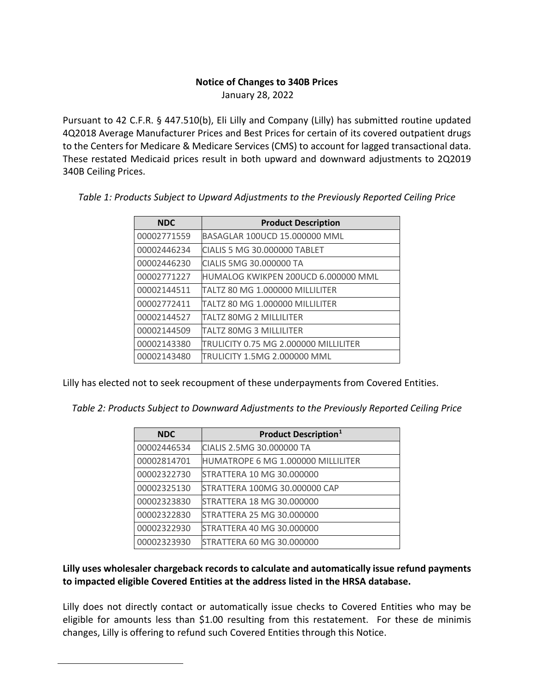## **Notice of Changes to 340B Prices**

January 28, 2022

Pursuant to 42 C.F.R. § 447.510(b), Eli Lilly and Company (Lilly) has submitted routine updated 4Q2018 Average Manufacturer Prices and Best Prices for certain of its covered outpatient drugs to the Centers for Medicare & Medicare Services (CMS) to account for lagged transactional data. These restated Medicaid prices result in both upward and downward adjustments to 2Q2019 340B Ceiling Prices.

| <b>NDC</b>  | <b>Product Description</b>            |
|-------------|---------------------------------------|
| 00002771559 | BASAGLAR 100UCD 15.000000 MML         |
| 00002446234 | CIALIS 5 MG 30,000000 TABLET          |
| 00002446230 | CIALIS 5MG 30.000000 TA               |
| 00002771227 | HUMALOG KWIKPEN 200UCD 6.000000 MML   |
| 00002144511 | TALTZ 80 MG 1.000000 MILLILITER       |
| 00002772411 | TALTZ 80 MG 1.000000 MILLILITER       |
| 00002144527 | TALTZ 80MG 2 MILLILITER               |
| 00002144509 | <b>TALTZ 80MG 3 MILLILITER</b>        |
| 00002143380 | TRULICITY 0.75 MG 2.000000 MILLILITER |
| 00002143480 | TRULICITY 1.5MG 2.000000 MML          |

*Table 1: Products Subject to Upward Adjustments to the Previously Reported Ceiling Price*

Lilly has elected not to seek recoupment of these underpayments from Covered Entities.

*Table 2: Products Subject to Downward Adjustments to the Previously Reported Ceiling Price*

| <b>NDC</b>  | <b>Product Description</b> <sup>1</sup>   |
|-------------|-------------------------------------------|
| 00002446534 | CIALIS 2.5MG 30.000000 TA                 |
| 00002814701 | <b>HUMATROPE 6 MG 1.000000 MILLILITER</b> |
| 00002322730 | STRATTERA 10 MG 30.000000                 |
| 00002325130 | STRATTERA 100MG 30.000000 CAP             |
| 00002323830 | STRATTERA 18 MG 30.000000                 |
| 00002322830 | STRATTERA 25 MG 30.000000                 |
| 00002322930 | STRATTERA 40 MG 30.000000                 |
| 00002323930 | STRATTERA 60 MG 30.000000                 |

## **Lilly uses wholesaler chargeback records to calculate and automatically issue refund payments to impacted eligible Covered Entities at the address listed in the HRSA database.**

<span id="page-0-0"></span>Lilly does not directly contact or automatically issue checks to Covered Entities who may be eligible for amounts less than \$1.00 resulting from this restatement. For these de minimis changes, Lilly is offering to refund such Covered Entities through this Notice.